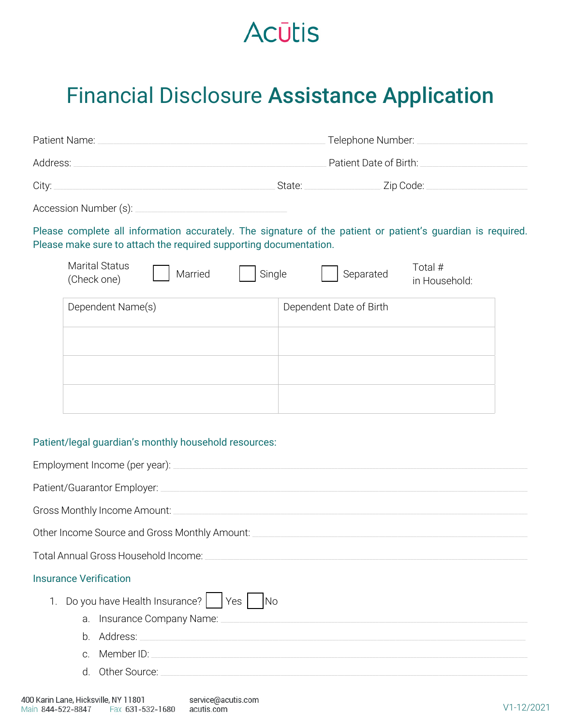## **Acūtis**

## Financial Disclosure Assistance Application

|                                                                   | Telephone Number:                                                                                           |  |
|-------------------------------------------------------------------|-------------------------------------------------------------------------------------------------------------|--|
|                                                                   | Patient Date of Birth:                                                                                      |  |
| City:                                                             | State: Zip Code:                                                                                            |  |
|                                                                   |                                                                                                             |  |
| Please make sure to attach the required supporting documentation. | Please complete all information accurately. The signature of the patient or patient's guardian is required. |  |
| <b>Marital Status</b><br>Married<br>Single<br>(Check one)         | Total #<br>Separated<br>in Household:                                                                       |  |
| Dependent Name(s)                                                 | Dependent Date of Birth                                                                                     |  |
| Patient/legal quardian's monthly household resources:             |                                                                                                             |  |

## 'atient/legal guardian's monthly household resources:

| Gross Monthly Income Amount: Cambridge Control of the Monthly Income Amount:                                                                                                                                                               |
|--------------------------------------------------------------------------------------------------------------------------------------------------------------------------------------------------------------------------------------------|
| Other Income Source and Gross Monthly Amount:                                                                                                                                                                                              |
| Total Annual Gross Household Income: Total Annual Gross Household Income                                                                                                                                                                   |
| <b>Insurance Verification</b>                                                                                                                                                                                                              |
| Do you have Health Insurance?<br>Yes<br><b>No</b>                                                                                                                                                                                          |
| Insurance Company Name:<br>a.                                                                                                                                                                                                              |
| b.                                                                                                                                                                                                                                         |
| Member ID: New York Contract the Contract of the Contract of the Contract of the Contract of the Contract of the Contract of the Contract of the Contract of the Contract of the Contract of the Contract of the Contract of t<br>$\Omega$ |
| d. Other Source:                                                                                                                                                                                                                           |
|                                                                                                                                                                                                                                            |